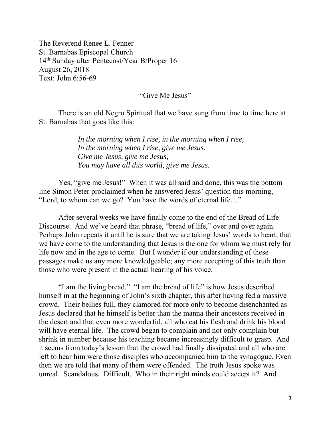The Reverend Renee L. Fenner St. Barnabas Episcopal Church 14th Sunday after Pentecost/Year B/Proper 16 August 26, 2018 Text: John 6:56-69

"Give Me Jesus"

 There is an old Negro Spiritual that we have sung from time to time here at St. Barnabas that goes like this:

> *In the morning when I rise, in the morning when I rise, In the morning when I rise, give me Jesus. Give me Jesus, give me Jesus, You may have all this world, give me Jesus.*

Yes, "give me Jesus!" When it was all said and done, this was the bottom line Simon Peter proclaimed when he answered Jesus' question this morning, "Lord, to whom can we go? You have the words of eternal life…"

 After several weeks we have finally come to the end of the Bread of Life Discourse. And we've heard that phrase, "bread of life," over and over again. Perhaps John repeats it until he is sure that we are taking Jesus' words to heart, that we have come to the understanding that Jesus is the one for whom we must rely for life now and in the age to come. But I wonder if our understanding of these passages make us any more knowledgeable; any more accepting of this truth than those who were present in the actual hearing of his voice.

 "I am the living bread." "I am the bread of life" is how Jesus described himself in at the beginning of John's sixth chapter, this after having fed a massive crowd. Their bellies full, they clamored for more only to become disenchanted as Jesus declared that he himself is better than the manna their ancestors received in the desert and that even more wonderful, all who eat his flesh and drink his blood will have eternal life. The crowd began to complain and not only complain but shrink in number because his teaching became increasingly difficult to grasp. And it seems from today's lesson that the crowd had finally dissipated and all who are left to hear him were those disciples who accompanied him to the synagogue. Even then we are told that many of them were offended. The truth Jesus spoke was unreal. Scandalous. Difficult. Who in their right minds could accept it? And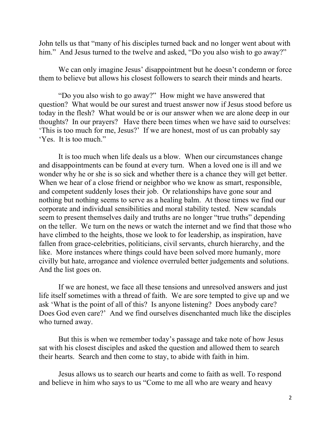John tells us that "many of his disciples turned back and no longer went about with him." And Jesus turned to the twelve and asked, "Do you also wish to go away?"

 We can only imagine Jesus' disappointment but he doesn't condemn or force them to believe but allows his closest followers to search their minds and hearts.

 "Do you also wish to go away?" How might we have answered that question? What would be our surest and truest answer now if Jesus stood before us today in the flesh? What would be or is our answer when we are alone deep in our thoughts? In our prayers? Have there been times when we have said to ourselves: 'This is too much for me, Jesus?' If we are honest, most of us can probably say 'Yes. It is too much."

 It is too much when life deals us a blow. When our circumstances change and disappointments can be found at every turn. When a loved one is ill and we wonder why he or she is so sick and whether there is a chance they will get better. When we hear of a close friend or neighbor who we know as smart, responsible, and competent suddenly loses their job. Or relationships have gone sour and nothing but nothing seems to serve as a healing balm. At those times we find our corporate and individual sensibilities and moral stability tested. New scandals seem to present themselves daily and truths are no longer "true truths" depending on the teller. We turn on the news or watch the internet and we find that those who have climbed to the heights, those we look to for leadership, as inspiration, have fallen from grace-celebrities, politicians, civil servants, church hierarchy, and the like. More instances where things could have been solved more humanly, more civilly but hate, arrogance and violence overruled better judgements and solutions. And the list goes on.

 If we are honest, we face all these tensions and unresolved answers and just life itself sometimes with a thread of faith. We are sore tempted to give up and we ask 'What is the point of all of this? Is anyone listening? Does anybody care? Does God even care?' And we find ourselves disenchanted much like the disciples who turned away.

But this is when we remember today's passage and take note of how Jesus sat with his closest disciples and asked the question and allowed them to search their hearts. Search and then come to stay, to abide with faith in him.

Jesus allows us to search our hearts and come to faith as well. To respond and believe in him who says to us "Come to me all who are weary and heavy